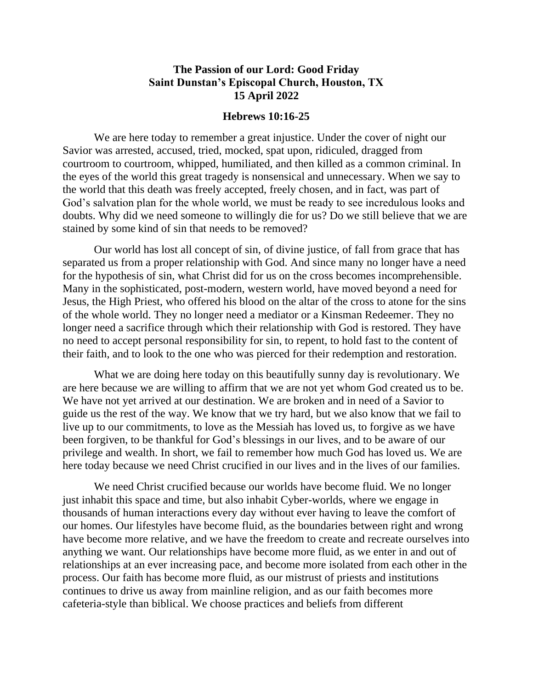## **The Passion of our Lord: Good Friday Saint Dunstan's Episcopal Church, Houston, TX 15 April 2022**

## **Hebrews 10:16-25**

We are here today to remember a great injustice. Under the cover of night our Savior was arrested, accused, tried, mocked, spat upon, ridiculed, dragged from courtroom to courtroom, whipped, humiliated, and then killed as a common criminal. In the eyes of the world this great tragedy is nonsensical and unnecessary. When we say to the world that this death was freely accepted, freely chosen, and in fact, was part of God's salvation plan for the whole world, we must be ready to see incredulous looks and doubts. Why did we need someone to willingly die for us? Do we still believe that we are stained by some kind of sin that needs to be removed?

Our world has lost all concept of sin, of divine justice, of fall from grace that has separated us from a proper relationship with God. And since many no longer have a need for the hypothesis of sin, what Christ did for us on the cross becomes incomprehensible. Many in the sophisticated, post-modern, western world, have moved beyond a need for Jesus, the High Priest, who offered his blood on the altar of the cross to atone for the sins of the whole world. They no longer need a mediator or a Kinsman Redeemer. They no longer need a sacrifice through which their relationship with God is restored. They have no need to accept personal responsibility for sin, to repent, to hold fast to the content of their faith, and to look to the one who was pierced for their redemption and restoration.

What we are doing here today on this beautifully sunny day is revolutionary. We are here because we are willing to affirm that we are not yet whom God created us to be. We have not yet arrived at our destination. We are broken and in need of a Savior to guide us the rest of the way. We know that we try hard, but we also know that we fail to live up to our commitments, to love as the Messiah has loved us, to forgive as we have been forgiven, to be thankful for God's blessings in our lives, and to be aware of our privilege and wealth. In short, we fail to remember how much God has loved us. We are here today because we need Christ crucified in our lives and in the lives of our families.

We need Christ crucified because our worlds have become fluid. We no longer just inhabit this space and time, but also inhabit Cyber-worlds, where we engage in thousands of human interactions every day without ever having to leave the comfort of our homes. Our lifestyles have become fluid, as the boundaries between right and wrong have become more relative, and we have the freedom to create and recreate ourselves into anything we want. Our relationships have become more fluid, as we enter in and out of relationships at an ever increasing pace, and become more isolated from each other in the process. Our faith has become more fluid, as our mistrust of priests and institutions continues to drive us away from mainline religion, and as our faith becomes more cafeteria-style than biblical. We choose practices and beliefs from different